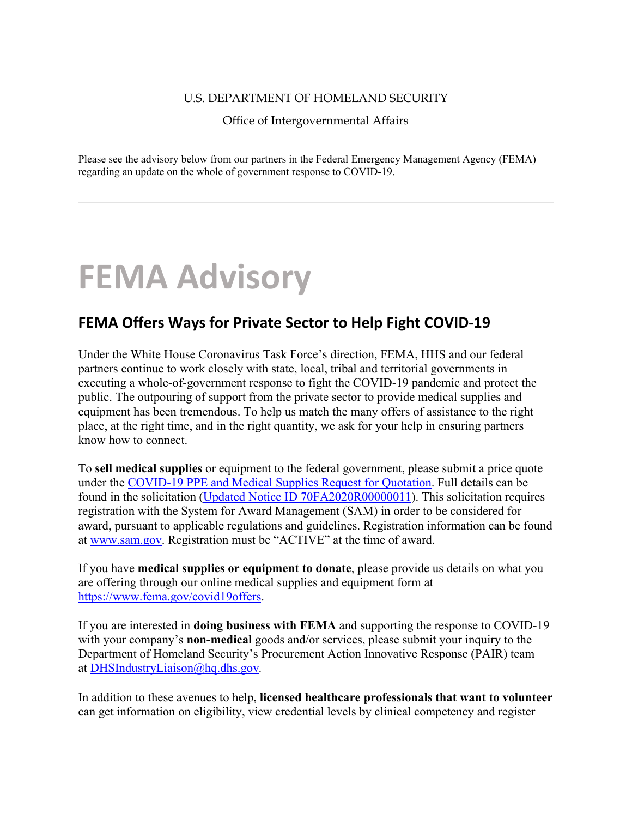## U.S. DEPARTMENT OF HOMELAND SECURITY

Office of Intergovernmental Affairs

Please see the advisory below from our partners in the Federal Emergency Management Agency (FEMA) regarding an update on the whole of government response to COVID-19.

## **FEMA Advisory**

## **FEMA Offers Ways for Private Sector to Help Fight COVID-19**

Under the White House Coronavirus Task Force's direction, FEMA, HHS and our federal partners continue to work closely with state, local, tribal and territorial governments in executing a whole-of-government response to fight the COVID-19 pandemic and protect the public. The outpouring of support from the private sector to provide medical supplies and equipment has been tremendous. To help us match the many offers of assistance to the right place, at the right time, and in the right quantity, we ask for your help in ensuring partners know how to connect.

To **sell medical supplies** or equipment to the federal government, please submit a price quote under the [COVID-19 PPE and Medical Supplies Request for Quotation.](http://webdefence.global.blackspider.com/urlwrap/?q=AXicLY9dcoIwAITTA5WfYEX7VKcigoAVFX9eOiRRDCbEEv6P0QN0ptfpNXqR4kwf9mF39pudBQ_g5xuA3y8ActbqMFFkXik8pgyLrMgFU7DgQIPhYrRGKw0OhiMT4KLlSf6CadGKMylR-VGeFJEn4FIUN_msqiy7SiUhKlNPrXtBNqZL6jrbztED6o6VPqRk18jjPrwhNpbx7infQ3Z1UtH404l0sqiN187Q4W7tp7cU2SyNW0f2Xkd2w4jNyv8-9dNJ2zOdn-LS31y13sMgtaj36uqY1_dhQeZhjTtRedDtWavEcFZ4nFSEjis8n1Q-3NbBbttzIQvu_DSBB2h1gb1qDpte6co48kPdqyKcMdLeT4xMK0PzmZcUA7TXpIyijkWJ955o4Y3n1nnRTd-Whn-iQkW5ag5NA8KxoZujRwYAgJ8A_AETBIDU&Z) Full details can be found in the solicitation [\(Updated Notice ID 70FA2020R00000011\)](http://webdefence.global.blackspider.com/urlwrap/?q=AXicLY9dUoMwAITjgQolWGh9stMiBQtafuzPSweSSpMmgISfhmN4AGe8jtfwItIZH_Zhd_abnQV34OcbgN8vAComNZgpomoVnhCGiryuCqaggoMxDJ6nYboZw3tjagJUS55Vj4jUsnjHTdp8NCelqDJwrutSPKgqyy9CybDK1JN0z6mNyAtxnbh3NJ-4M2UICd5exWEXlCmbiWQ7qXaQXRxaXL2lJZz8TSahYzjc7Txa0tRmNJGOGLyW2leGbdb894lH59JbznuPosaLLuPBQ59aZL1wNcS723CBV0GH-qJdQ3dgrQbBp3rNcYvJrEWreevBuPO38cAFzL_xywzuodX79ua6jwbRjX7g-25QizljWA4nIjO8LPK8C22D0_Ei1ieOPE5tY-u_nkoZhXYQlkcx2hkToaaVahqmDuFM18zpiAEA4CcAf_Rpf_s&Z). This solicitation requires registration with the System for Award Management (SAM) in order to be considered for award, pursuant to applicable regulations and guidelines. Registration information can be found at [www.sam.gov.](http://webdefence.global.blackspider.com/urlwrap/?q=AXicLY1JTsMwAADNg8ji0CblRNVCcGhadUm3C4rtktj1Epy9z-ABSHyHb_ARisRxRiMNuAHfXwD8fAJgRO_CzCpNY8mUCaJVZbSwiJbAgauXYI2XDrwbBj4gVS8z80BY1es3WuP6vT5Z2mQgr6qivLdtoc6llVFb2Kc-ynFI2IJFKLkgd86ikXWVjO668rhfFViMynQ3MHsozojrLp6iEqltn67REMmojXnBcSh42l-9jFwcdoKGov7vWczHfTwdX2JO6nhzdq4M5_yRzSaRS2T7N9b0edUuWNBQj3ozNc_xeqCwd2iQcqxgu01k-zQ4epucyOmxecXJYQK7XRMlBUUqxHF-m-P2opc2NrY_9D0IR57rB7cCAAA_APgFqKxsxA&Z) Registration must be "ACTIVE" at the time of award.

If you have **medical supplies or equipment to donate**, please provide us details on what you are offering through our online medical supplies and equipment form at [https://www.fema.gov/covid19offers.](http://webdefence.global.blackspider.com/urlwrap/?q=AXicLY1bUoMwAADjgeQRSil-WaVisNAptQ_5I0lLExJAXiUcwwM443W8hhexzvi5Ozuz4AZ8fwHw8wlALZQJM62pe02mTJCyaOtSaKSUwIDxy2yD1wacTGcOIK2SWX1PWKvKE-1w994dtbLOwLltq-ZO10WRN1pGdaEfVXDGPmErFqDtiMyIBa52lYzuhyY5xBUWbpPu7foARY54OYRe2KBip9INmiIZXEJecewLnirUXNnE_iCoL7r_noV8rkJvPoacdOFrblwZRnzBlo-BSeTlb1zS5_hCxrJfWtSiypbJ3jwvJe0pczm2kirxFjaGiUwOwYgKQ3syUBRXNKomb5Ly7Wk3sJW_aDv3hdiOp4q67dfbfh2Kh1zHte5MHQtC1zKd2a0AAMAPAH4B2mNz8g&Z)

If you are interested in **doing business with FEMA** and supporting the response to COVID-19 with your company's **non-medical** goods and/or services, please submit your inquiry to the Department of Homeland Security's Procurement Action Innovative Response (PAIR) team at [DHSIndustryLiaison@hq.dhs.gov](mailto:DHSIndustryLiaison@hq.dhs.gov)*.* 

In addition to these avenues to help, **licensed healthcare professionals that want to volunteer** can get information on eligibility, view credential levels by clinical competency and register